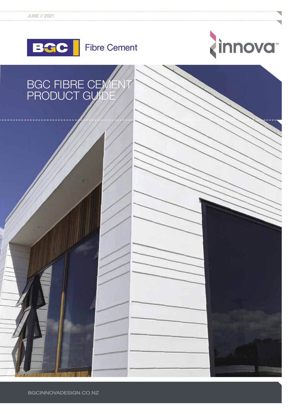



# BGC FIBRE CEMENT PRODUCT GUIDE

PRODUCT ST

 $\overline{\phantom{a}}$ 

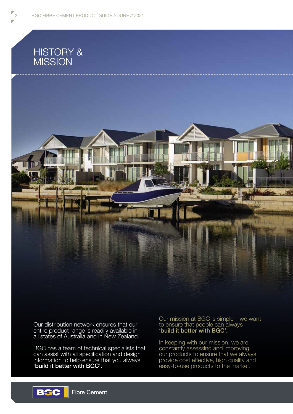# HISTORY & **MISSION**



Our distribution network ensures that our entire product range is readily available in all states of Australia and in New Zealand.

BGC has a team of technical specialists that can assist with all specification and design information to help ensure that you always 'build it better with BGC'.

Our mission at BGC is simple – we want to ensure that people can always 'build it better with BGC'.

In keeping with our mission, we are constantly assessing and improving our products to ensure that we always provide cost effective, high quality and easy-to-use products to the market.

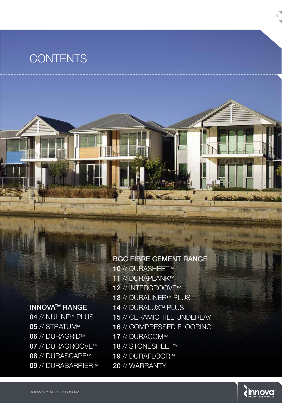# **CONTENTS**

# BGC FIBRE CEMENT RANGE

# **INNOVA<sup>™</sup> RANGE**

04 // NULINE™ PLUS 05 // STRATUM<sup>M</sup> 06 // DURAGRID™ 07 // DURAGROOVE™ 08 // DURASCAPE™ 09 // DURABARRIER™

10 // DURASHEET™ 11 // DURAPLANK™ 12 // INTERGROOVE™ **13 // DURALINER™ PLUS** 14 // DURALUX™ PLUS 15 // CERAMIC TILE UNDERLAY 16 // COMPRESSED FLOORING 17 // DURACOM™ **18 // STONESHEET™** 19 // DURAFLOOR™ 20 // WARRANTY



an ti il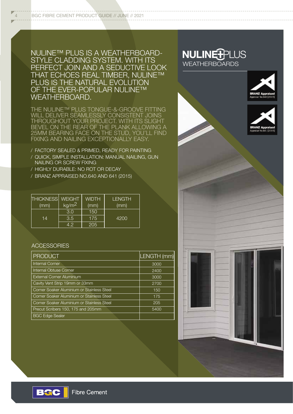4 BGC FIBRE CEMENT PRODUCT GUIDE // JUNE // 2021

NULINE™ PLUS IS A WEATHERBOARD- NULINE<sup>T</sup>PLUS STYLE CLADDING SYSTEM. WITH ITS PERFECT JOIN AND A SEDUCTIVE LOOK THAT ECHOES REAL TIMBER, NULINE™ PLUS IS THE NATURAL EVOLUTION OF THE EVER-POPULAR NULINE™ WEATHERBOARD.

THE NULINE™ PLUS TONGUE-&-GROOVE FITTING WILL DELIVER SEAMLESSLY CONSISTENT JOINS THROUGHOUT YOUR PROJECT. WITH ITS SLIGHT BEVEL ON THE REAR OF THE PLANK ALLOWING A 25MM BEARING FACE ON THE STUD, YOU'LL FIND FIXING AND NAILING EXCEPTIONALLY EASY.

- / FACTORY SEALED & PRIMED, READY FOR PAINTING
- / QUICK, SIMPLE INSTALLATION: MANUAL NAILING, GUN NAILING OR SCREW FIXING
- / HIGHLY DURABLE: NO ROT OR DECAY
- / BRANZ APPRAISED NO.640 AND 641 (2015)

| <b>THICKNESS</b><br>(mm) | <b>WEIGHT</b><br>kg/m <sup>2</sup> | <b>WIDTH</b><br>(mm) | <b>LENGTH</b><br>(mm) |
|--------------------------|------------------------------------|----------------------|-----------------------|
|                          | 3.0                                | 150                  |                       |
| 14                       | 3.5                                | 175                  | 4200                  |
|                          | 4.2'                               | 205                  |                       |

#### **ACCESSORIES**

| <b>PRODUCT</b>                             | LENGTH (mm) |
|--------------------------------------------|-------------|
| Internal Corner                            | 3000        |
| Internal Obtuse Corner                     | 2400        |
| External Corner Aluminium                  | 3000        |
| Cavity Vent Strip 19mm or 33mm             | 2700        |
| Corner Soaker Aluminium or Stainless Steel | 150         |
| Corner Soaker Aluminium or Stainless Steel | 175         |
| Corner Soaker Aluminium or Stainless Steel | 205         |
| Precut Scribers 150, 175 and 205mm         | 5400        |
| <b>BGC Edge Sealer</b>                     |             |









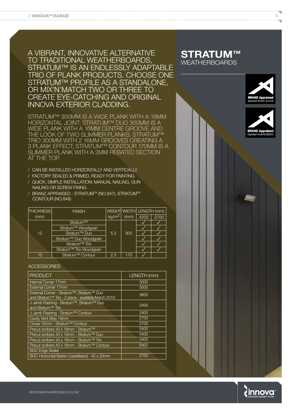A VIBRANT, INNOVATIVE ALTERNATIVE TO TRADITIONAL WEATHERBOARDS, STRATUM™ IS AN ENDLESSLY ADAPTABLE TRIO OF PLANK PRODUCTS. CHOOSE ONE STRATUM™ PROFILE AS A STANDALONE, OR MIX'N'MATCH TWO OR THREE TO CREATE EYE-CATCHING AND ORIGINAL INNOVA EXTERIOR CLADDING.

STRATUM™ 300MM IS A WIDE PLANK WITH A 16MM HORIZONTAL JOINT; STRATUM™ DUO 300MM IS A WIDE PLANK WITH A 16MM CENTRE GROOVE AND THE LOOK OF TWO SLIMMER PLANKS; STRATUM™ TRIO 300MM WITH 2 16MM GROOVES CREATING A 3 PLANK EFFECT; STRATUM™ CONTOUR 170MM IS A SLIMMER PLANK WITH A 2MM REBATED SECTION AT THE TOP.

- / CAN BE INSTALLED HORIZONTALLY AND VERTICALLY
- / FACTORY SEALED & PRIMED, READY FOR PAINTING
- / QUICK, SIMPLE INSTALLATION: MANUAL NAILING, GUN NAILING OR SCREW FIXING
- / BRANZ APPRAISED STRATUMTM (NO.847), STRATUMTM CONTOUR (NO.848)

| <b>THICKNESS</b> | <b>FINISH</b>                |                   |      | WEIGHT WIDTH LENGTH (mm) |      |
|------------------|------------------------------|-------------------|------|--------------------------|------|
| (mm)             |                              | kg/m <sup>2</sup> | (mm) | 4200                     | 2700 |
|                  | Stratum™                     |                   |      |                          |      |
|                  | Stratum™ Woodgrain           |                   |      |                          |      |
| 12               | Stratum™ Duo                 | 5.2               | 300  |                          |      |
|                  | Stratum™ Duo Woodgrain       |                   |      |                          |      |
|                  | Stratum <sup>™</sup> Trio    |                   |      |                          |      |
|                  | Stratum™ Trio Woodgrain      |                   |      |                          |      |
| 10               | Stratum <sup>™</sup> Contour | 2.5               | 170  |                          |      |

#### **ACCESSORIES**

| <b>PRODUCT</b>                                                                                 | LENGTH (mm) |
|------------------------------------------------------------------------------------------------|-------------|
| Internal Corner 17mm                                                                           | 3000        |
| External Corner 17mm                                                                           | 3000        |
| External Corner - Stratum™, Stratum™ Duo<br>and Stratum™ Trio - 2 piece - available March 2019 | 3600        |
| J Jamb Flashing - Stratum™, Stratum™ Duo<br>and Stratum™ Trio                                  | 2400        |
| J Jamb Flashing - Stratum™ Contour                                                             | 2400        |
| Cavity Vent Strip 19mm                                                                         | 2700        |
| Closer 33mm - Stratum™ Contour                                                                 | 2700        |
| Precut scribers 40 x 18mm - Stratum™                                                           | 5400        |
| Precut scribers 40 x 18mm - Stratum™ Duo                                                       | 5400        |
| Precut scribers 40 x 18mm - Stratum™ Trio                                                      | 5400        |
| Precut scribers 40 x 18mm - Stratum™ Contour                                                   | 5400        |
| <b>BGC Edge Sealer</b>                                                                         |             |
| BGC Horizontal Batten (castellated) - 45 x 20mm                                                | 2700        |

### **STRATUM™ WEATHERBOARDS**





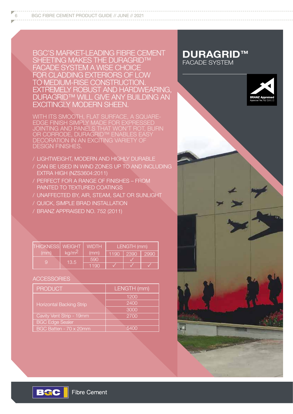BGC'S MARKET-LEADING FIBRE CEMENT SHEETING MAKES THE DURAGRID™ FACADE SYSTEM A WISE CHOICE FOR CLADDING EXTERIORS OF LOW TO MEDIUM-RISE CONSTRUCTION. EXTREMELY ROBUST AND HARDWEARING, DURAGRID™ WILL GIVE ANY BUILDING AN EXCITINGLY MODERN SHEEN.

WITH ITS SMOOTH, FLAT SURFACE, A SQUARE-EDGE FINISH SIMPLY MADE FOR EXPRESSED JOINTING AND PANELS THAT WON'T ROT, BURN OR CORRODE, DURAGRID™ ENABLES EASY DECORATION IN AN EXCITING VARIETY OF DESIGN FINISHES.

- / LIGHTWEIGHT, MODERN AND HIGHLY DURABLE
- / CAN BE USED IN WIND ZONES UP TO AND INCLUDING EXTRA HIGH (NZS3604:2011)
- / PERFECT FOR A RANGE OF FINISHES FROM PAINTED TO TEXTURED COATINGS
- / UNAFFECTED BY, AIR, STEAM, SALT OR SUNLIGHT
- / QUICK, SIMPLE BRAD INSTALLATION
- / BRANZ APPRAISED NO. 752 (2011)

| THICKNESS   WEIGHT |                    | <b>WIDTH</b> | LENGTH (mm) |             |      |  |
|--------------------|--------------------|--------------|-------------|-------------|------|--|
| (mm)               | kg/m <sup>2'</sup> | (mm)         |             | 1190   2390 | 2990 |  |
| Q                  | 13.5               | 590          |             |             |      |  |
|                    |                    | 1190         |             |             |      |  |

#### **ACCESSORIES**

**BGC** 

| <b>PRODUCT</b>                  | LENGTH (mm) |
|---------------------------------|-------------|
|                                 | 1200        |
| <b>Horizontal Backing Strip</b> | 2400        |
|                                 | 3000        |
| Cavity Vent Strip - 19mm        | 2700        |
| <b>BGC Edge Sealer</b>          |             |
| BGC Batten - 70 x 20mm          | 5400        |

### **DURAGRID™** FACADE SYSTEM

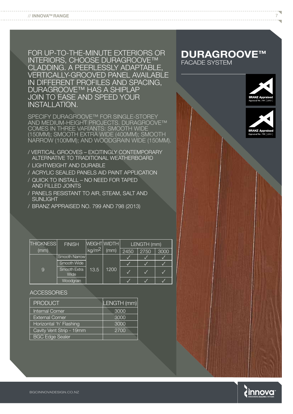FOR UP-TO-THE-MINUTE EXTERIORS OR INTERIORS, CHOOSE DURAGROOVE™ CLADDING. A PEERLESSLY ADAPTABLE, VERTICALLY-GROOVED PANEL AVAILABLE IN DIFFERENT PROFILES AND SPACING, DURAGROOVE™ HAS A SHIPLAP JOIN TO EASE AND SPEED YOUR INSTALLATION.

SPECIFY DURAGROOVE™ FOR SINGLE-STOREY AND MEDIUM-HEIGHT PROJECTS. DURAGROOVE™ COMES IN THREE VARIANTS: SMOOTH WIDE (150MM); SMOOTH EXTRA WIDE (400MM); SMOOTH NARROW (100MM); AND WOODGRAIN WIDE (150MM).

- / VERTICAL GROOVES EXCITINGLY CONTEMPORARY ALTERNATIVE TO TRADITIONAL WEATHERBOARD
- / LIGHTWEIGHT AND DURABLE
- / ACRYLIC SEALED PANELS AID PAINT APPLICATION
- / QUICK TO INSTALL NO NEED FOR TAPED AND FILLED JOINTS
- / PANELS RESISTANT TO AIR, STEAM, SALT AND SUNLIGHT
- / BRANZ APPRAISED NO. 799 AND 798 (2013)

| <b>THICKNESS</b> | <b>FINISH</b>        |                   | WEIGHT WIDTH |      | LENGTH (mm) |      |
|------------------|----------------------|-------------------|--------------|------|-------------|------|
| (mm)             |                      | kg/m <sup>2</sup> | (mm)         | 2450 | 2750        | 3000 |
|                  | Smooth Narrow        |                   |              |      |             |      |
|                  | Smooth Wide          |                   |              |      |             |      |
| 9                | Smooth Extra<br>Wide | 13.5              | 1200         |      |             |      |
|                  | Woodgrain            |                   |              |      |             |      |

**ACCESSORIES** 

| <b>PRODUCT</b>           | LENGTH (mm) |
|--------------------------|-------------|
| Internal Corner          | 3000        |
| <b>External Corner</b>   | 3000        |
| Horizontal 'h' Flashing  | 3000        |
| Cavity Vent Strip - 19mm | 2700        |
| <b>BGC Edge Sealer</b>   |             |

### **DURAGROOVE™** FACADE SYSTEM





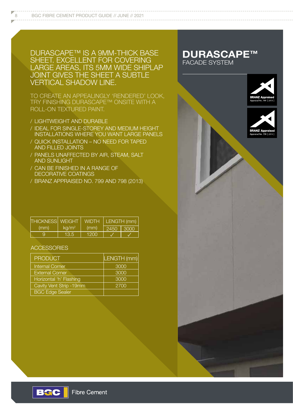DURASCAPE™ IS A 9MM-THICK BASE SHEET. EXCELLENT FOR COVERING LARGE AREAS, ITS 5MM WIDE SHIPLAP JOINT GIVES THE SHEET A SUBTLE VERTICAL SHADOW LINE.

TO CREATE AN APPEALINGLY 'RENDERED' LOOK, TRY FINISHING DURASCAPE™ ONSITE WITH A ROLL-ON TEXTURED PAINT.

- / LIGHTWEIGHT AND DURABLE
- / IDEAL FOR SINGLE-STOREY AND MEDIUM HEIGHT INSTALLATIONS WHERE YOU WANT LARGE PANELS
- / QUICK INSTALLATION NO NEED FOR TAPED AND FILLED JOINTS
- / PANELS UNAFFECTED BY AIR, STEAM, SALT AND SUNLIGHT
- / CAN BE FINISHED IN A RANGE OF DECORATIVE COATINGS
- / BRANZ APPRAISED NO. 799 AND 798 (2013)

### **DURASCAPE™** FACADE SYSTEM





| <b>THICKNESS</b> WEIGHT |          | <b>WIDTH</b> | LENGTH (mm)   |  |
|-------------------------|----------|--------------|---------------|--|
| (mm)                    | $kq/m^2$ | (mm)         | - 2450 - 3000 |  |
|                         | 13.5     | 1200         |               |  |

### **ACCESSORIES**

**BGC** 

| <b>PRODUCT</b>           | LENGTH (mm) |
|--------------------------|-------------|
| <b>Internal Corner</b>   | 3000        |
| <b>External Corner</b>   | 3000        |
| Horizontal 'h' Flashing  | 3000        |
| Cavity Vent Strip - 19mm | 2700        |
| <b>BGC Edge Sealer</b>   |             |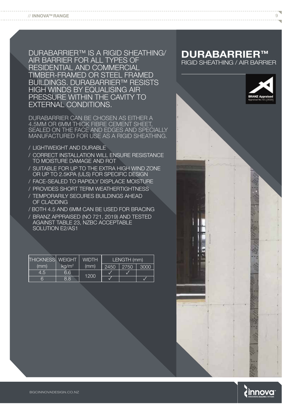DURABARRIER™ IS A RIGID SHEATHING/ AIR BARRIER FOR ALL TYPES OF RESIDENTIAL AND COMMERCIAL TIMBER-FRAMED OR STEEL FRAMED BUILDINGS. DURABARRIER™ RESISTS HIGH WINDS BY EQUALISING AIR PRESSURE WITHIN THE CAVITY TO EXTERNAL CONDITIONS.

DURABARRIER CAN BE CHOSEN AS EITHER A 4.5MM OR 6MM THICK FIBRE CEMENT SHEET, SEALED ON THE FACE AND EDGES AND SPECIALLY MANUFACTURED FOR USE AS A RIGID SHEATHING.

- / LIGHTWEIGHT AND DURABLE
- / CORRECT INSTALLATION WILL ENSURE RESISTANCE TO MOISTURE DAMAGE AND ROT
- / SUITABLE FOR UP TO THE EXTRA HIGH WIND ZONE OR UP TO 2.5KPA (ULS) FOR SPECIFIC DESIGN
- / FACE-SEALED TO RAPIDLY DISPLACE MOISTURE
- / PROVIDES SHORT TERM WEATHERTIGHTNESS / TEMPORARILY SECURES BUILDINGS AHEAD OF CLADDING
- / BOTH 4.5 AND 6MM CAN BE USED FOR BRACING
- / BRANZ APPRAISED (NO 721, 2019) AND TESTED AGAINST TABLE 23, NZBC ACCEPTABLE SOLUTION E2/AS1

| <b>THICKNESS</b> WEIGHT |          | <b>WIDTH</b> | LENGTH (mm) |      |      |
|-------------------------|----------|--------------|-------------|------|------|
| (mm)                    | $kq/m^2$ | (mm)         | 2450        | 2750 | 3000 |
| 4.5.                    | 6.6      | 1200         |             |      |      |
| 6                       | 8.8      |              |             |      |      |

# **DURABARRIER™**

RIGID SHEATHING / AIR BARRIER

 $\circ$ 



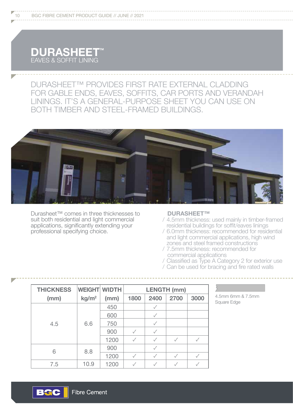

DURASHEET™ PROVIDES FIRST RATE EXTERNAL CLADDING FOR GABLE ENDS, EAVES, SOFFITS, CAR PORTS AND VERANDAH LININGS. IT'S A GENERAL-PURPOSE SHEET YOU CAN USE ON BOTH TIMBER AND STEEL-FRAMED BUILDINGS.



Durasheet™ comes in three thicknesses to suit both residential and light commercial applications, significantly extending your professional specifying choice.

#### **DURASHEET™**

- / 4.5mm thickness: used mainly in timber-framed residential buildings for soffit/eaves linings
- / 6.0mm thickness: recommended for residential and light commercial applications, high wind zones and steel framed constructions
- / 7.5mm thickness: recommended for commercial applications
- / Classified as Type A Category 2 for exterior use
- / Can be used for bracing and fire rated walls

| <b>THICKNESS</b> | <b>WEIGHT WIDTH</b> |      | <b>LENGTH (mm)</b> |              |      |      |
|------------------|---------------------|------|--------------------|--------------|------|------|
| (mm)             | kg/m <sup>2</sup>   | (mm) | 1800               | 2400         | 2700 | 3000 |
| 4.5              | 6.6                 | 450  |                    |              |      |      |
|                  |                     | 600  |                    |              |      |      |
|                  |                     | 750  |                    |              |      |      |
|                  |                     | 900  |                    | $\checkmark$ |      |      |
|                  |                     | 1200 |                    |              |      |      |
| 6                | 8.8                 | 900  |                    | ✓            |      |      |
|                  |                     | 1200 |                    |              |      |      |
| 7.5              | 10.9                | 1200 |                    |              |      |      |

4.5mm 6mm & 7.5mm Square Edge

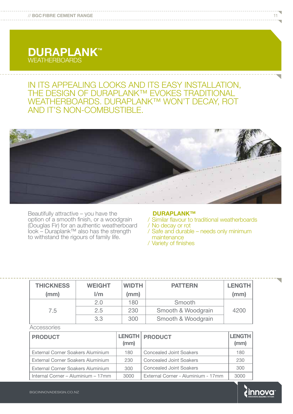# **DURAPLANKTM** WEATHERBOARDS

# IN ITS APPEALING LOOKS AND ITS EASY INSTALLATION, THE DESIGN OF DURAPLANK™ EVOKES TRADITIONAL WEATHERBOARDS. DURAPLANK™ WON'T DECAY, ROT AND IT'S NON-COMBUSTIBLE.



Beautifully attractive – you have the option of a smooth finish, or a woodgrain (Douglas Fir) for an authentic weatherboard look – Duraplank™ also has the strength to withstand the rigours of family life.

#### **DURAPLANK™**

- / Similar flavour to traditional weatherboards
- / No decay or rot
- / Safe and durable needs only minimum maintenance
- / Variety of finishes

| <b>THICKNESS</b><br>(mm) | <b>WEIGHT</b><br>1/m | <b>WIDTH</b><br>(mm) | <b>PATTERN</b>     | <b>LENGTH</b><br>(mm) |
|--------------------------|----------------------|----------------------|--------------------|-----------------------|
|                          | 2.0                  | 180                  | Smooth             |                       |
| 7.5                      | 2.5                  | 230                  | Smooth & Woodgrain | 4200                  |
|                          | 3.3                  | 300                  | Smooth & Woodgrain |                       |

Accessories

| <b>PRODUCT</b>                     | (mm) | <b>LENGTH PRODUCT</b>              | <b>LENGTH</b><br>(mm) |
|------------------------------------|------|------------------------------------|-----------------------|
| External Corner Soakers Aluminium  | 180  | <b>Concealed Joint Soakers</b>     | 180                   |
| External Corner Soakers Aluminium  | 230  | <b>Concealed Joint Soakers</b>     | 230                   |
| External Corner Soakers Aluminium  | 300  | <b>Concealed Joint Soakers</b>     | 300                   |
| Internal Corner – Aluminium – 17mm | 3000 | External Corner - Aluminium - 17mm | 3000                  |

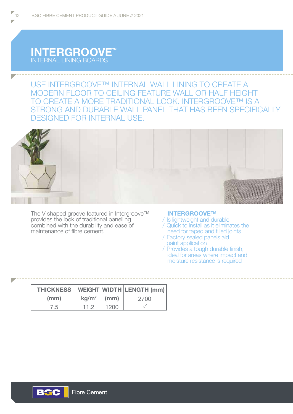# INTERGROOVE<sup>M</sup> INTERNAL LINING BOARDS

USE INTERGROOVE™ INTERNAL WALL LINING TO CREATE A MODERN FLOOR TO CEILING FEATURE WALL OR HALF HEIGHT TO CREATE A MORE TRADITIONAL LOOK. INTERGROOVE™ IS A STRONG AND DURABLE WALL PANEL THAT HAS BEEN SPECIFICALLY DESIGNED FOR INTERNAL USE.



The V shaped groove featured in Intergroove™ provides the look of traditional panelling combined with the durability and ease of maintenance of fibre cement.

#### **INTERGROOVE™**

- / Is lightweight and durable
- / Quick to install as it eliminates the need for taped and filled joints
- / Factory sealed panels aid paint application
- / Provides a tough durable finish, ideal for areas where impact and moisture resistance is required

| <b>THICKNESS</b> |               |      | <b>WEIGHT WIDTH LENGTH (mm)</b> |
|------------------|---------------|------|---------------------------------|
| (mm)             | $kg/m^2$ (mm) |      | 2700                            |
| 7.5              | 11 2          | 1200 |                                 |

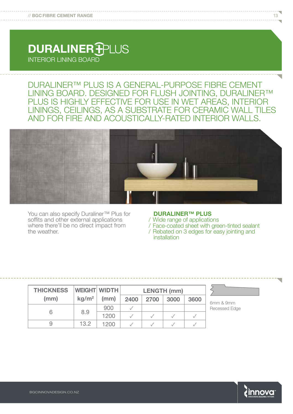# DURALINER-INTERIOR LINING BOARD

DURALINER™ PLUS IS A GENERAL-PURPOSE FIBRE CEMENT LINING BOARD. DESIGNED FOR FLUSH JOINTING, DURALINER™ PLUS IS HIGHLY EFFECTIVE FOR USE IN WET AREAS, INTERIOR LININGS, CEILINGS, AS A SUBSTRATE FOR CERAMIC WALL TILES AND FOR FIRE AND ACOUSTICALLY-RATED INTERIOR WALLS.



You can also specify Duraliner™ Plus for soffits and other external applications where there'll be no direct impact from the weather.

#### **DURALINER™ PLUS**

/ Wide range of applications

/ Face-coated sheet with green-tinted sealant

/ Rebated on 3 edges for easy jointing and installation

| <b>THICKNESS</b> |                   | <b>WEIGHT WIDTH</b> | <b>LENGTH (mm)</b> |      |      |      |
|------------------|-------------------|---------------------|--------------------|------|------|------|
| (mm)             | kg/m <sup>2</sup> | (mm)                | 2400               | 2700 | 3000 | 3600 |
|                  |                   | 900                 |                    |      |      |      |
|                  | 8.9               | 1200                |                    |      |      |      |
|                  | 13.2              | 1200                |                    |      |      |      |

6mm & 9mm Recessed Edge

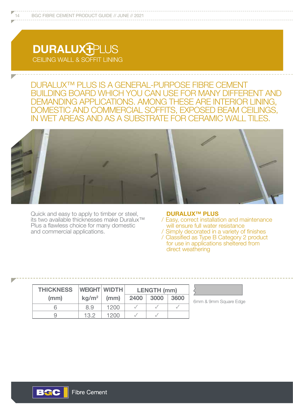# DURALUX<sup>-</sup> CEILING WALL & SOFFIT LINING

DURALUX™ PLUS IS A GENERAL-PURPOSE FIBRE CEMENT BUILDING BOARD WHICH YOU CAN USE FOR MANY DIFFERENT AND DEMANDING APPLICATIONS. AMONG THESE ARE INTERIOR LINING, DOMESTIC AND COMMERCIAL SOFFITS, EXPOSED BEAM CEILINGS, IN WET AREAS AND AS A SUBSTRATE FOR CERAMIC WALL TILES.



Quick and easy to apply to timber or steel, its two available thicknesses make Duralux™ Plus a flawless choice for many domestic and commercial applications.

#### **DURALUX™ PLUS**

- / Easy, correct installation and maintenance will ensure full water resistance
- / Simply decorated in a variety of finishes / Classified as Type B Category 2 product for use in applications sheltered from direct weathering

| <b>THICKNESS</b> |                   | <b>WEIGHT WIDTH</b> | <b>LENGTH (mm)</b> |      |      |
|------------------|-------------------|---------------------|--------------------|------|------|
| (mm)             | kg/m <sup>2</sup> | (mm)                | 2400               | 3000 | 3600 |
|                  | 8.9               | 1200                |                    |      |      |
|                  | 132               | 1200                |                    |      |      |

mm & 9mm Square Edge

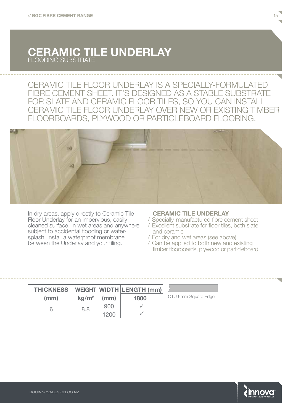# **CERAMIC TILE UNDERLAY** FLOORING SUBSTRATE

CERAMIC TILE FLOOR UNDERLAY IS A SPECIALLY-FORMULATED FIBRE CEMENT SHEET. IT'S DESIGNED AS A STABLE SUBSTRATE FOR SLATE AND CERAMIC FLOOR TILES, SO YOU CAN INSTALL CERAMIC TILE FLOOR UNDERLAY OVER NEW OR EXISTING TIMBER FLOORBOARDS, PLYWOOD OR PARTICLEBOARD FLOORING.



In dry areas, apply directly to Ceramic Tile Floor Underlay for an impervious, easilycleaned surface. In wet areas and anywhere subject to accidental flooding or watersplash, install a waterproof membrane between the Underlay and your tiling.

#### **CERAMIC TILE UNDERLAY**

- / Specially-manufactured fibre cement sheet / Excellent substrate for floor tiles, both slate and ceramic
- / For dry and wet areas (see above)
- / Can be applied to both new and existing timber floorboards, plywood or particleboard

| <b>THICKNESS</b> |                   |      | WEIGHT WIDTH LENGTH (mm) |
|------------------|-------------------|------|--------------------------|
| (mm)             | kg/m <sup>2</sup> | (mm) | 1800                     |
| h                | 8.8               | 900  |                          |
|                  |                   | 1200 |                          |

CTU 6mm Square Edge

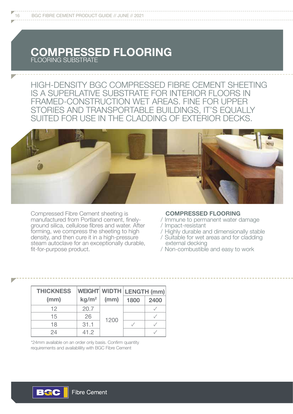# **COMPRESSED FLOORING** FLOORING SUBSTRATE

HIGH-DENSITY BGC COMPRESSED FIBRE CEMENT SHEETING IS A SUPERLATIVE SUBSTRATE FOR INTERIOR FLOORS IN FRAMED-CONSTRUCTION WET AREAS. FINE FOR UPPER STORIES AND TRANSPORTABLE BUILDINGS, IT'S EQUALLY SUITED FOR USE IN THE CLADDING OF EXTERIOR DECKS.



Compressed Fibre Cement sheeting is manufactured from Portland cement, finelyground silica, cellulose fibres and water. After forming, we compress the sheeting to high density, and then cure it in a high-pressure steam autoclave for an exceptionally durable, fit-for-purpose product.

#### **COMPRESSED FLOORING**

- / Immune to permanent water damage
- / Impact-resistant
- / Highly durable and dimensionally stable
- / Suitable for wet areas and for cladding external decking
- / Non-combustible and easy to work

| <b>THICKNESS</b><br>(mm) | WEIGHT WIDTH LENGTH (mm)<br>kg/m <sup>2</sup> | (mm) | 1800 | 2400 |
|--------------------------|-----------------------------------------------|------|------|------|
| 12                       | 20.7                                          |      |      |      |
| 15                       | 26                                            |      |      |      |
| 18                       | 31.1                                          | 1200 |      |      |
| 24                       | 41.2                                          |      |      |      |

\*24mm available on an order only basis. Confirm quantity requirements and availablility with BGC Fibre Cement

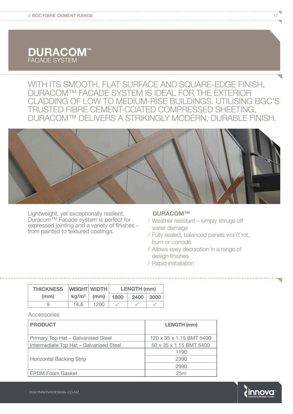

// **BGC FIBRE CEMENT RANGE**

WITH ITS SMOOTH, FLAT SURFACE AND SQUARE-EDGE FINISH, DURACOM™ FACADE SYSTEM IS IDEAL FOR THE EXTERIOR CLADDING OF LOW TO MEDIUM-RISE BUILDINGS. UTILISING BGC'S TRUSTED FIBRE CEMENT-COATED COMPRESSED SHEETING, DURACOM™ DELIVERS A STRIKINGLY MODERN, DURABLE FINISH.

Lightweight, yet exceptionally resilient, Duracom™ Facade system is perfect for expressed jointing and a variety of finishes – from painted to textured coatings.

#### **DURACOM™**

- / Weather resistant simply shrugs off water damage
- / Fully sealed, balanced panels won't rot, burn or corrode
- / Allows easy decoration in a range of design finishes
- / Rapid installation

| <b>THICKNESS</b> |                   | <b>WEIGHT WIDTH</b> | <b>LENGTH (mm)</b> |      |      |  |
|------------------|-------------------|---------------------|--------------------|------|------|--|
| (mm)             | kg/m <sup>2</sup> | (mm)                | 1800               | 2400 | 3000 |  |
| 9                | 14.6              | 1200                |                    |      |      |  |

#### **Accessories**

| <b>PRODUCT</b>                          | <b>LENGTH (mm)</b>       |
|-----------------------------------------|--------------------------|
| Primary Top Hat - Galvanised Steel      | 120 x 35 x 1.15 BMT 5400 |
| Intermediate Top Hat - Galvanised Steel | 50 x 35 x 1.15 BMT 5400  |
|                                         | 1190                     |
| <b>Horizontal Backing Strip</b>         | 2390                     |
|                                         | 2990                     |
| <b>EPDM Foam Gasket</b>                 | 25m                      |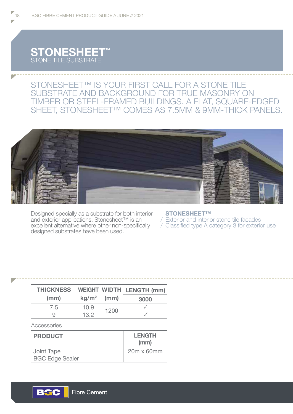# **STONESHEET<sup>M</sup>** STONE TILE SUBSTRATE

# STONESHEET™ IS YOUR FIRST CALL FOR A STONE TILE SUBSTRATE AND BACKGROUND FOR TRUE MASONRY ON TIMBER OR STEEL-FRAMED BUILDINGS. A FLAT, SQUARE-EDGED SHEET, STONESHEET™ COMES AS 7.5MM & 9MM-THICK PANELS.



Designed specially as a substrate for both interior and exterior applications, Stonesheet™ is an excellent alternative where other non-specifically designed substrates have been used.

#### **STONESHEET™**

/ Exterior and interior stone tile facades

/ Classified type A category 3 for exterior use

| <b>THICKNESS</b> |                   |      | WEIGHT WIDTH   LENGTH (mm) |  |
|------------------|-------------------|------|----------------------------|--|
| (mm)             | kg/m <sup>2</sup> | (mm) | 3000                       |  |
| 7.5              | 10.9              | 1200 |                            |  |
|                  | 13.2              |      |                            |  |

Accessories

| <b>PRODUCT</b>         | <b>LENGTH</b><br>(mm) |
|------------------------|-----------------------|
| Joint Tape             | 20m x 60mm            |
| <b>BGC Edge Sealer</b> |                       |

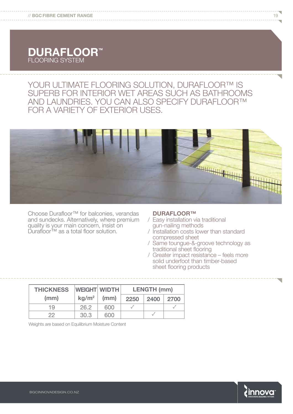

### YOUR ULTIMATE FLOORING SOLUTION, DURAFLOOR™ IS SUPERB FOR INTERIOR WET AREAS SUCH AS BATHROOMS AND LAUNDRIES. YOU CAN ALSO SPECIFY DURAFLOOR™ FOR A VARIETY OF EXTERIOR USES.



Choose Durafloor™ for balconies, verandas and sundecks. Alternatively, where premium quality is your main concern, insist on Durafloor™ as a total floor solution.

#### **DURAFLOOR™**

- / Easy installation via traditional gun-nailing methods
- / Installation costs lower than standard compressed sheet
- / Same toungue-&-groove technology as traditional sheet flooring
- / Greater impact resistance feels more solid underfoot than timber-based sheet flooring products

| <b>WEIGHT WIDTH</b><br><b>THICKNESS</b> |                   |      |      | <b>LENGTH (mm)</b> |      |
|-----------------------------------------|-------------------|------|------|--------------------|------|
| (mm)                                    | kg/m <sup>2</sup> | (mm) | 2250 | 2400               | 2700 |
| 19                                      | 26.2              | 600  |      |                    |      |
| つつ                                      | 30.3              | 600  |      |                    |      |

Weights are based on Equilibrium Moisture Content

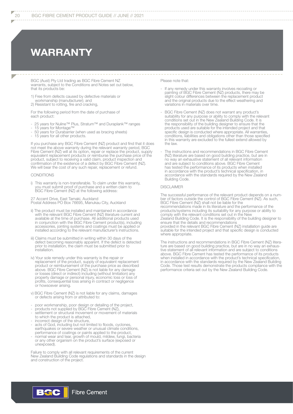#### 20 BGC FIBRE CEMENT PRODUCT GUIDE // JUNE // 2021

# **WARRANTY**

BGC (Aust) Pty Ltd trading as BGC Fibre Cement NZ warrants, subject to the Conditions and Notes set out below, that its products be:

1) Free from defects caused by defective materials or workmanship (manufacturer); and 2) Resistant to rotting, fire and cracking,

For the following period from the date of purchase of each product:

- 25 years for Nuline™ Plus, Stratum™ and Duraplank™ ranges<br>- 15 years for Montage™
- 15 years for Montage™<br>- 50 years for Durabarrier
- 50 years for Durabarrier (when used as bracing sheets)
- 15 years for all other products.

If you purchase any BGC Fibre Cement (NZ) product and find that it does not meet the above warranty during the relevant warranty period, BGC Fibre Cement (NZ) will at its option, repair or replace the product, supply equivalent replacement products or reimburse the purchase price of the product, subject to receiving a valid claim, product inspection and confirmation of the existence of a defect by BGC Fibre Cement (NZ). We will bear the cost of any such repair, replacement or refund.

#### **CONDITIONS**

i) This warranty is non-transferable. To claim under this warranty, you must submit proof of purchase and a written claim to BGC Fibre Cement (NZ) at the following address:

27 Accent Drive, East Tamaki, Auckland

Postal Address PO Box 76695, Manukau City, Auckland

- ii) The product must be installed and maintained in accordance with the relevant BGC Fibre Cement (NZ) literature current and available at the time of purchase. All additional products used in conjunction with the BGC Fibre Cement product(s), including accessories, jointing systems and coatings must be applied or installed according to the relevant manufacturer's instructions.
- iii) Claims must be submitted in writing within 30 days of the defect becoming reasonably apparent. If the defect is detected prior to installation, the claim must be submitted prior to installation.
- iv) Your sole remedy under this warranty is the repair or replacement of the product, supply of equivalent replacement product or reimbursement of the purchase price as described above. BGC Fibre Cement (NZ) is not liable for any damage or losses (direct or indirect) including (without limitation) any property damage or personal injury, economic loss or loss of profits, consequential loss arising in contract or negligence or howsoever arising.
- v) BGC Fibre Cement (NZ) is not liable for any claims, damages or defects arising from or attributed to:
- poor workmanship, poor design or detailing of the project,
- products not supplied by BGC Fibre Cement (NZ),
- settlement or structural movement or movement of materials to which the product is attached,
- incorrect design of the structure,
- acts of God, including but not limited to floods, cyclones, earthquakes or severe weather or unusual climate conditions, performance of coatings or paints applied to the product,
- normal wear and tear, growth of mould, mildew, fungi, bacteria or any other organism on the product's surface (exposed or unexposed).

Failure to comply with all relevant requirements of the current New Zealand Building Code regulations and standards in the design and construction of the project.

Please note that:

- If any remedy under this warranty involves recoating or painting of BGC Fibre Cement (NZ) products, there may be slight colour differences between the replacement product and the original products due to the effect weathering and variations in materials over time.
- BGC Fibre Cement (NZ) does not warrant any product's suitability for any purpose or ability to comply with the relevant conditions set out in the New Zealand Building Code. It is the responsibility of the building designer to ensure that the products used are suitable for the intended project and that specific design is conducted where appropriate. All warranties, conditions, liabilities and obligations other than those specified in this warranty are excluded to the fullest extend allowed by the law.
- The instructions and recommendations in BGC Fibre Cement (NZ) literature are based on good building practice, but are in no way an exhaustive statement of all relevant information and are subject to conditions above. BGC Fibre Cement has tested the performance of its products when installed in accordance with the product's technical specification, in accordance with the standards required by the New Zealand Building Code.

#### DISCLAIMER

The successful performance of the relevant product depends on a number of factors outside the control of BGC Fibre Cement (NZ). As such, BGC Fibre Cement (NZ) shall not be liable for the recommendations made in its literature and the performance of the products/systems including its suitability for any purpose or ability to comply with the relevant conditions set out in the New Zealand Building Code. It is the responsibility of the building designer to ensure that the details and recommendations provided in the relevant BGC Fibre Cement (NZ) installation guide are suitable for the intended project and that specific design is conducted where appropriate.

The instructions and recommendations in BGC Fibre Cement (NZ) literature are based on good building practice, but are in no way an exhaustive statement of all relevant information and are subject to conditions above. BGC Fibre Cement has tested the performance of its products when installed in accordance with the product's technical specification, in accordance with the standards required by the New Zealand Building Code. Those test results demonstrate the products compliance with the performance criteria set out by the New Zealand Building Code.

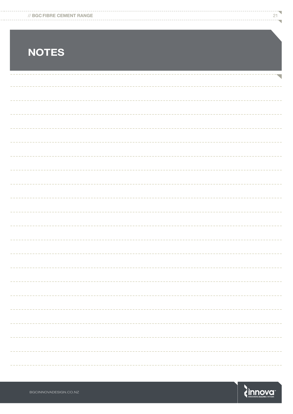| // BGC FIBRE CEMENT RANGE | - |  |
|---------------------------|---|--|
|                           |   |  |

# **NOTES**

 $\overline{\phantom{0}}$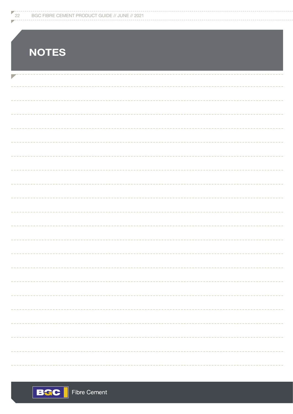| <b>NOTES</b> |
|--------------|
|              |
|              |
|              |
|              |
|              |
|              |
|              |
|              |
|              |
|              |
|              |
|              |
|              |
|              |
|              |
|              |
|              |
|              |
|              |
|              |
|              |



**22 BGC FIBRE CEMENT PRODUCT GUIDE // JUNE // 2021**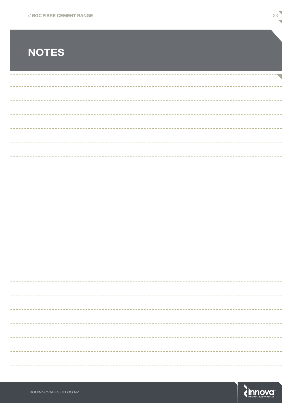| // BGC FIBRE CEMENT RANGE |  |
|---------------------------|--|
|                           |  |

# **NOTES**

 $\overline{\phantom{0}}$